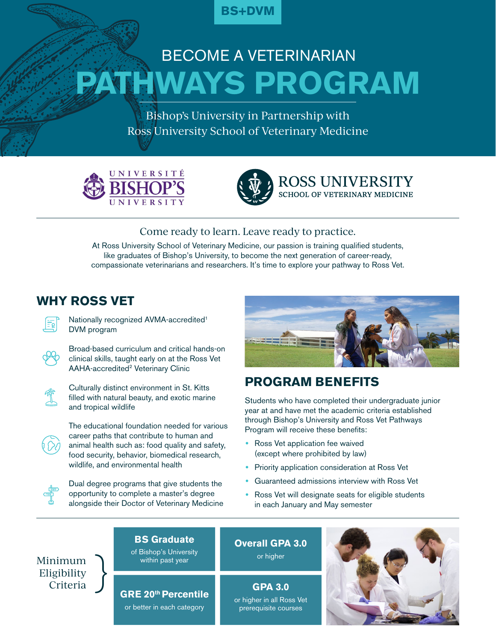

# **PATHWAYS PROGRAM** BECOME A VETERINARIAN

Bishop's University in Partnership with Ross University School of Veterinary Medicine





**ROSS UNIVERSITY SCHOOL OF VETERINARY MEDICINE** 

## Come ready to learn. Leave ready to practice.

At Ross University School of Veterinary Medicine, our passion is training qualified students, like graduates of Bishop's University, to become the next generation of career-ready, compassionate veterinarians and researchers. It's time to explore your pathway to Ross Vet.

## **WHY ROSS VET**



Nationally recognized AVMA-accredited<sup>1</sup> DVM program

Broad-based curriculum and critical hands-on clinical skills, taught early on at the Ross Vet AAHA-accredited<sup>2</sup> Veterinary Clinic



Culturally distinct environment in St. Kitts filled with natural beauty, and exotic marine and tropical wildlife



The educational foundation needed for various career paths that contribute to human and animal health such as: food quality and safety, food security, behavior, biomedical research, wildlife, and environmental health



Dual degree programs that give students the opportunity to complete a master's degree alongside their Doctor of Veterinary Medicine



## **PROGRAM BENEFITS**

Students who have completed their undergraduate junior year at and have met the academic criteria established through Bishop's University and Ross Vet Pathways Program will receive these benefits:

- **•** Ross Vet application fee waived (except where prohibited by law)
- **•** Priority application consideration at Ross Vet
- **•** Guaranteed admissions interview with Ross Vet
- **•** Ross Vet will designate seats for eligible students in each January and May semester



# **GRE 20th Percentile**

**BS Graduate**  of Bishop's University within past year

or better in each category

**Overall GPA 3.0** or higher

**GPA 3.0** or higher in all Ross Vet prerequisite courses